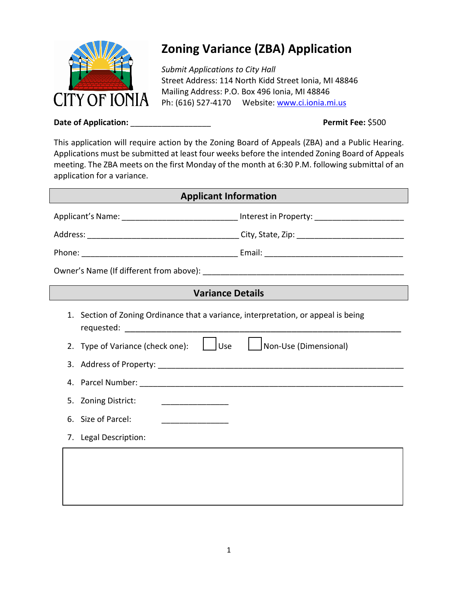

# **Zoning Variance (ZBA) Application**

*Submit Applications to City Hall* Street Address: 114 North Kidd Street Ionia, MI 48846 Mailing Address: P.O. Box 496 Ionia, MI 48846 Ph: (616) 527-4170 Website: [www.ci.ionia.mi.us](http://www.ci.ionia.mi.us/)

**Date of Application:** \_\_\_\_\_\_\_\_\_\_\_\_\_\_\_\_\_\_ **Permit Fee:** \$500

This application will require action by the Zoning Board of Appeals (ZBA) and a Public Hearing. Applications must be submitted at least four weeks before the intended Zoning Board of Appeals meeting. The ZBA meets on the first Monday of the month at 6:30 P.M. following submittal of an application for a variance.

| <b>Applicant Information</b> |                                                                                                     |                       |  |
|------------------------------|-----------------------------------------------------------------------------------------------------|-----------------------|--|
|                              | Applicant's Name: ________________________________ Interest in Property: __________________________ |                       |  |
|                              |                                                                                                     |                       |  |
|                              |                                                                                                     |                       |  |
|                              |                                                                                                     |                       |  |
|                              | <b>Variance Details</b>                                                                             |                       |  |
|                              | 1. Section of Zoning Ordinance that a variance, interpretation, or appeal is being                  |                       |  |
|                              | 2. Type of Variance (check one): $\Box$ Use                                                         | Non-Use (Dimensional) |  |
|                              |                                                                                                     |                       |  |
|                              |                                                                                                     |                       |  |
|                              | 5. Zoning District:                                                                                 |                       |  |
|                              | 6. Size of Parcel:                                                                                  |                       |  |
|                              | 7. Legal Description:                                                                               |                       |  |
|                              |                                                                                                     |                       |  |
|                              |                                                                                                     |                       |  |
|                              |                                                                                                     |                       |  |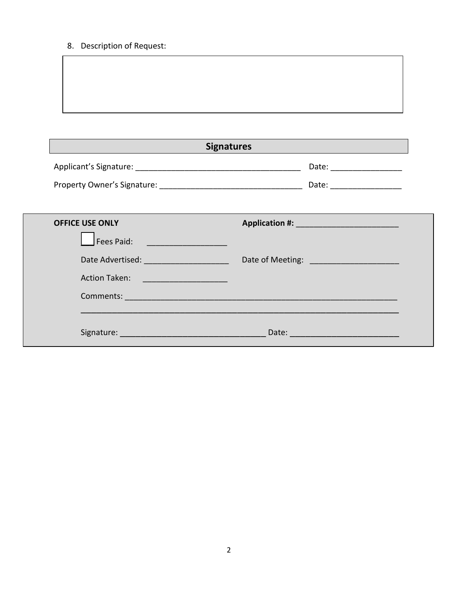8. Description of Request:

| <b>Signatures</b>                 |                                                                                                                 |  |
|-----------------------------------|-----------------------------------------------------------------------------------------------------------------|--|
|                                   | Date: _____________________                                                                                     |  |
|                                   | Date: __________________                                                                                        |  |
|                                   |                                                                                                                 |  |
| <b>OFFICE USE ONLY</b>            |                                                                                                                 |  |
| Fees Paid:                        |                                                                                                                 |  |
|                                   |                                                                                                                 |  |
| Action Taken: ___________________ |                                                                                                                 |  |
|                                   | Comments: 2008 and 2008 and 2008 and 2008 and 2008 and 2008 and 2008 and 2008 and 2008 and 2008 and 2008 and 20 |  |
|                                   |                                                                                                                 |  |
| Signature: Signature:             | Date: <u>_______________________</u>                                                                            |  |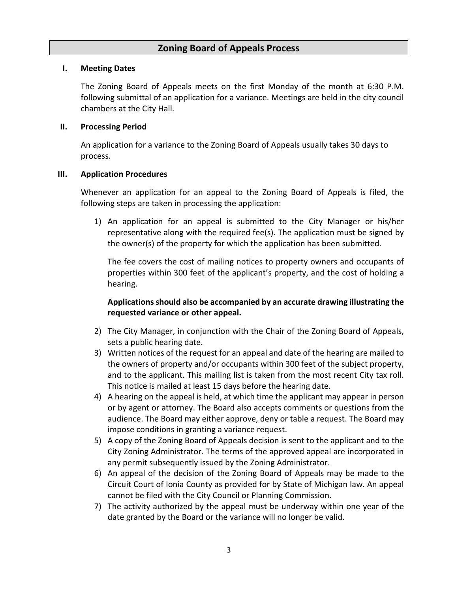## **Zoning Board of Appeals Process**

#### **I. Meeting Dates**

The Zoning Board of Appeals meets on the first Monday of the month at 6:30 P.M. following submittal of an application for a variance. Meetings are held in the city council chambers at the City Hall.

#### **II. Processing Period**

An application for a variance to the Zoning Board of Appeals usually takes 30 days to process.

#### **III. Application Procedures**

Whenever an application for an appeal to the Zoning Board of Appeals is filed, the following steps are taken in processing the application:

1) An application for an appeal is submitted to the City Manager or his/her representative along with the required fee(s). The application must be signed by the owner(s) of the property for which the application has been submitted.

The fee covers the cost of mailing notices to property owners and occupants of properties within 300 feet of the applicant's property, and the cost of holding a hearing.

## **Applications should also be accompanied by an accurate drawing illustrating the requested variance or other appeal.**

- 2) The City Manager, in conjunction with the Chair of the Zoning Board of Appeals, sets a public hearing date.
- 3) Written notices of the request for an appeal and date of the hearing are mailed to the owners of property and/or occupants within 300 feet of the subject property, and to the applicant. This mailing list is taken from the most recent City tax roll. This notice is mailed at least 15 days before the hearing date.
- 4) A hearing on the appeal is held, at which time the applicant may appear in person or by agent or attorney. The Board also accepts comments or questions from the audience. The Board may either approve, deny or table a request. The Board may impose conditions in granting a variance request.
- 5) A copy of the Zoning Board of Appeals decision is sent to the applicant and to the City Zoning Administrator. The terms of the approved appeal are incorporated in any permit subsequently issued by the Zoning Administrator.
- 6) An appeal of the decision of the Zoning Board of Appeals may be made to the Circuit Court of Ionia County as provided for by State of Michigan law. An appeal cannot be filed with the City Council or Planning Commission.
- 7) The activity authorized by the appeal must be underway within one year of the date granted by the Board or the variance will no longer be valid.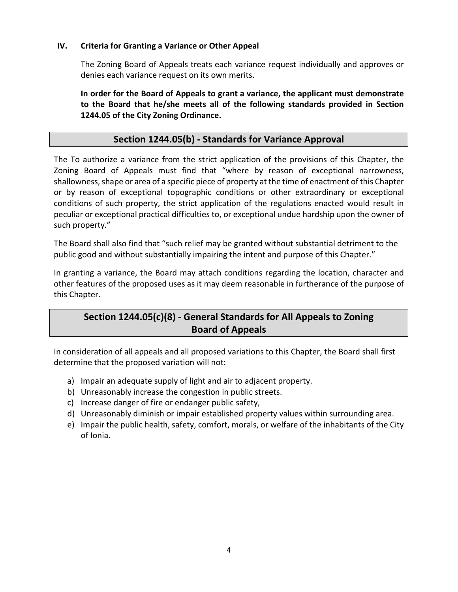#### **IV. Criteria for Granting a Variance or Other Appeal**

The Zoning Board of Appeals treats each variance request individually and approves or denies each variance request on its own merits.

**In order for the Board of Appeals to grant a variance, the applicant must demonstrate to the Board that he/she meets all of the following standards provided in Section 1244.05 of the City Zoning Ordinance.**

# **Section 1244.05(b) - Standards for Variance Approval**

The To authorize a variance from the strict application of the provisions of this Chapter, the Zoning Board of Appeals must find that "where by reason of exceptional narrowness, shallowness, shape or area of a specific piece of property at the time of enactment of this Chapter or by reason of exceptional topographic conditions or other extraordinary or exceptional conditions of such property, the strict application of the regulations enacted would result in peculiar or exceptional practical difficulties to, or exceptional undue hardship upon the owner of such property."

The Board shall also find that "such relief may be granted without substantial detriment to the public good and without substantially impairing the intent and purpose of this Chapter."

In granting a variance, the Board may attach conditions regarding the location, character and other features of the proposed uses as it may deem reasonable in furtherance of the purpose of this Chapter.

# **Section 1244.05(c)(8) - General Standards for All Appeals to Zoning Board of Appeals**

In consideration of all appeals and all proposed variations to this Chapter, the Board shall first determine that the proposed variation will not:

- a) Impair an adequate supply of light and air to adjacent property.
- b) Unreasonably increase the congestion in public streets.
- c) Increase danger of fire or endanger public safety,
- d) Unreasonably diminish or impair established property values within surrounding area.
- e) Impair the public health, safety, comfort, morals, or welfare of the inhabitants of the City of Ionia.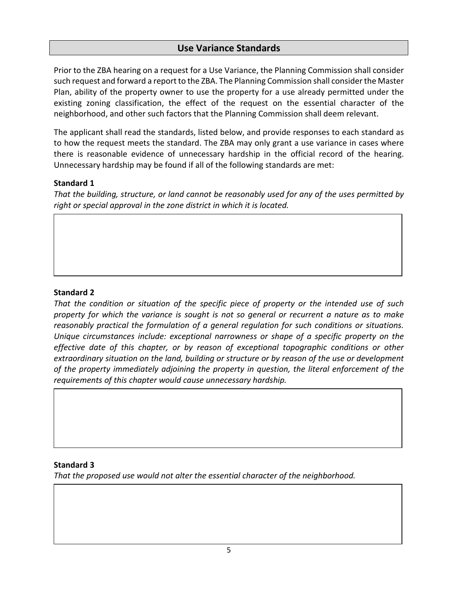# **Use Variance Standards**

Prior to the ZBA hearing on a request for a Use Variance, the Planning Commission shall consider such request and forward a report to the ZBA. The Planning Commission shall consider the Master Plan, ability of the property owner to use the property for a use already permitted under the existing zoning classification, the effect of the request on the essential character of the neighborhood, and other such factors that the Planning Commission shall deem relevant.

The applicant shall read the standards, listed below, and provide responses to each standard as to how the request meets the standard. The ZBA may only grant a use variance in cases where there is reasonable evidence of unnecessary hardship in the official record of the hearing. Unnecessary hardship may be found if all of the following standards are met:

## **Standard 1**

*That the building, structure, or land cannot be reasonably used for any of the uses permitted by right or special approval in the zone district in which it is located.*

## **Standard 2**

*That the condition or situation of the specific piece of property or the intended use of such property for which the variance is sought is not so general or recurrent a nature as to make reasonably practical the formulation of a general regulation for such conditions or situations. Unique circumstances include: exceptional narrowness or shape of a specific property on the effective date of this chapter, or by reason of exceptional topographic conditions or other extraordinary situation on the land, building or structure or by reason of the use or development of the property immediately adjoining the property in question, the literal enforcement of the requirements of this chapter would cause unnecessary hardship.*

## **Standard 3**

*That the proposed use would not alter the essential character of the neighborhood.*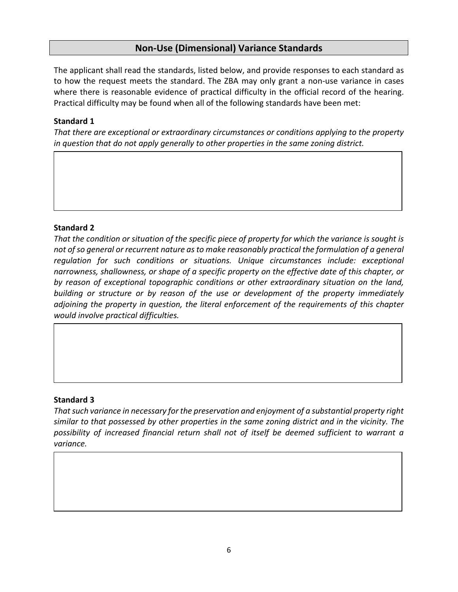# **Non-Use (Dimensional) Variance Standards**

The applicant shall read the standards, listed below, and provide responses to each standard as to how the request meets the standard. The ZBA may only grant a non-use variance in cases where there is reasonable evidence of practical difficulty in the official record of the hearing. Practical difficulty may be found when all of the following standards have been met:

## **Standard 1**

*That there are exceptional or extraordinary circumstances or conditions applying to the property in question that do not apply generally to other properties in the same zoning district.*

## **Standard 2**

*That the condition or situation of the specific piece of property for which the variance is sought is not of so general or recurrent nature as to make reasonably practical the formulation of a general regulation for such conditions or situations. Unique circumstances include: exceptional narrowness, shallowness, or shape of a specific property on the effective date of this chapter, or by reason of exceptional topographic conditions or other extraordinary situation on the land, building or structure or by reason of the use or development of the property immediately adjoining the property in question, the literal enforcement of the requirements of this chapter would involve practical difficulties.*

## **Standard 3**

*That such variance in necessary for the preservation and enjoyment of a substantial property right similar to that possessed by other properties in the same zoning district and in the vicinity. The possibility of increased financial return shall not of itself be deemed sufficient to warrant a variance.*